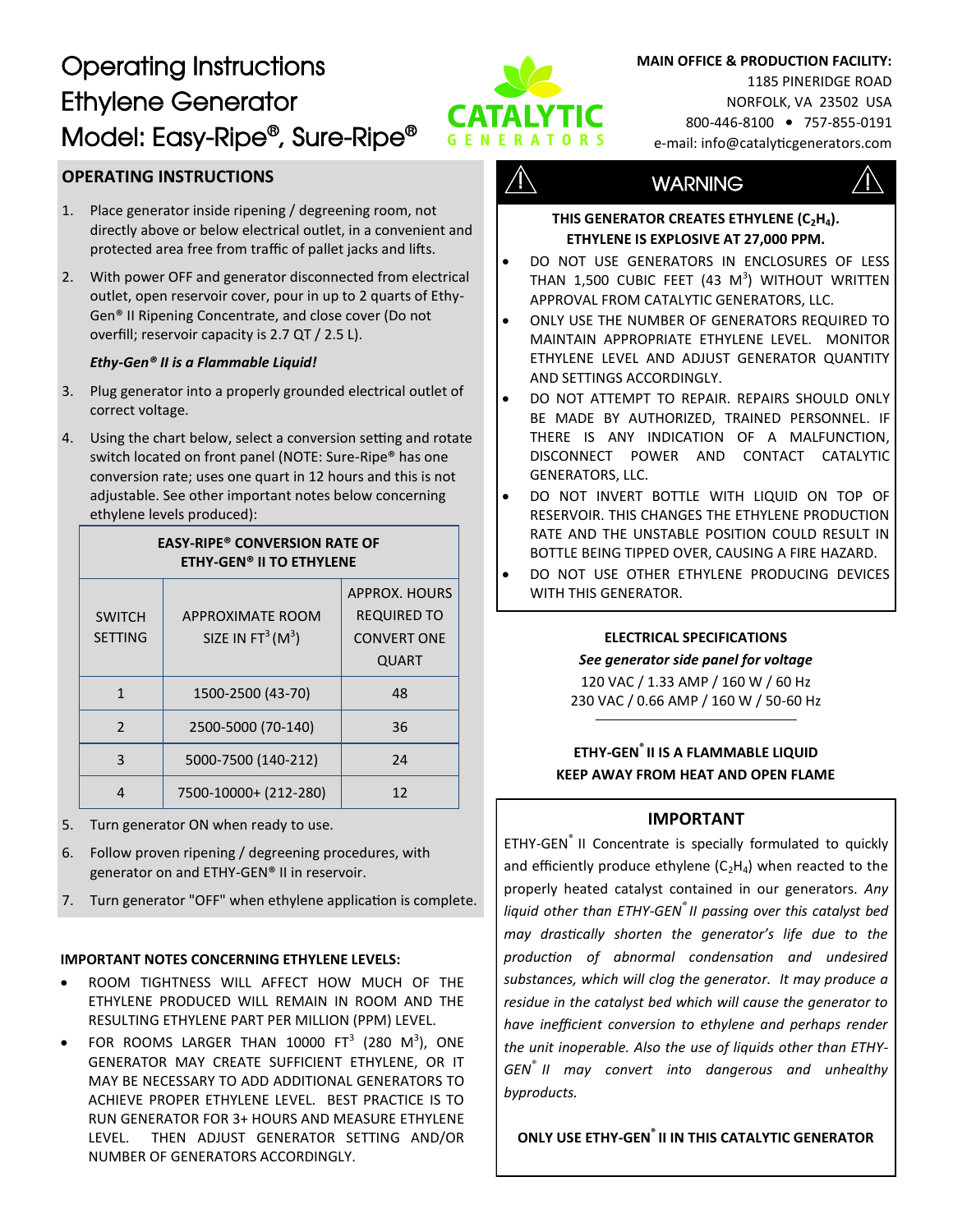# Operating Instructions Ethylene Generator Model: Easy-Ripe® , Sure-Ripe®



#### **MAIN OFFICE & PRODUCTION FACILITY:**

1185 PINERIDGE ROAD NORFOLK, VA 23502 USA 800-446-8100 • 757-855-0191 e-mail: info@catalyticgenerators.com

# **OPERATING INSTRUCTIONS**

- 1. Place generator inside ripening / degreening room, not directly above or below electrical outlet, in a convenient and protected area free from traffic of pallet jacks and lifts.
- 2. With power OFF and generator disconnected from electrical outlet, open reservoir cover, pour in up to 2 quarts of Ethy-Gen® II Ripening Concentrate, and close cover (Do not overfill; reservoir capacity is 2.7 QT / 2.5 L).

#### *Ethy-Gen® II is a Flammable Liquid!*

- 3. Plug generator into a properly grounded electrical outlet of correct voltage.
- 4. Using the chart below, select a conversion setting and rotate switch located on front panel (NOTE: Sure-Ripe® has one conversion rate; uses one quart in 12 hours and this is not adjustable. See other important notes below concerning ethylene levels produced):

**EASY-RIPE® CONVERSION RATE OF**

| <b>ETHY-GEN<sup>®</sup> II TO ETHYLENE</b> |                                                      |                                                                                  |
|--------------------------------------------|------------------------------------------------------|----------------------------------------------------------------------------------|
| <b>SWITCH</b><br><b>SETTING</b>            | APPROXIMATE ROOM<br>SIZE IN FT <sup>3</sup> ( $M3$ ) | <b>APPROX. HOURS</b><br><b>REQUIRED TO</b><br><b>CONVERT ONE</b><br><b>QUART</b> |
|                                            | 1500-2500 (43-70)                                    | 48                                                                               |
| $\mathcal{P}$                              | 2500-5000 (70-140)                                   | 36                                                                               |
| ς                                          | 5000-7500 (140-212)                                  | 24                                                                               |
|                                            | 7500-10000+ (212-280)                                | 12                                                                               |

5. Turn generator ON when ready to use.

- 6. Follow proven ripening / degreening procedures, with generator on and ETHY-GEN® II in reservoir.
- 7. Turn generator "OFF" when ethylene application is complete.

#### **IMPORTANT NOTES CONCERNING ETHYLENE LEVELS:**

- ROOM TIGHTNESS WILL AFFECT HOW MUCH OF THE ETHYLENE PRODUCED WILL REMAIN IN ROOM AND THE RESULTING ETHYLENE PART PER MILLION (PPM) LEVEL.
- FOR ROOMS LARGER THAN 10000  $FT^3$  (280 M<sup>3</sup>), ONE GENERATOR MAY CREATE SUFFICIENT ETHYLENE, OR IT MAY BE NECESSARY TO ADD ADDITIONAL GENERATORS TO ACHIEVE PROPER ETHYLENE LEVEL. BEST PRACTICE IS TO RUN GENERATOR FOR 3+ HOURS AND MEASURE ETHYLENE LEVEL. THEN ADJUST GENERATOR SETTING AND/OR NUMBER OF GENERATORS ACCORDINGLY.

# $\sqrt{1}$  WARNING  $\sqrt{1}$



#### **THIS GENERATOR CREATES ETHYLENE (C2H4). ETHYLENE IS EXPLOSIVE AT 27,000 PPM.**

- DO NOT USE GENERATORS IN ENCLOSURES OF LESS THAN 1,500 CUBIC FEET (43  $\text{M}^3$ ) without written APPROVAL FROM CATALYTIC GENERATORS, LLC.
- ONLY USE THE NUMBER OF GENERATORS REQUIRED TO MAINTAIN APPROPRIATE ETHYLENE LEVEL. MONITOR ETHYLENE LEVEL AND ADJUST GENERATOR QUANTITY AND SETTINGS ACCORDINGLY.
- DO NOT ATTEMPT TO REPAIR. REPAIRS SHOULD ONLY BE MADE BY AUTHORIZED, TRAINED PERSONNEL. IF THERE IS ANY INDICATION OF A MALFUNCTION, DISCONNECT POWER AND CONTACT CATALYTIC GENERATORS, LLC.
- DO NOT INVERT BOTTLE WITH LIQUID ON TOP OF RESERVOIR. THIS CHANGES THE ETHYLENE PRODUCTION RATE AND THE UNSTABLE POSITION COULD RESULT IN BOTTLE BEING TIPPED OVER, CAUSING A FIRE HAZARD.
- DO NOT USE OTHER ETHYLENE PRODUCING DEVICES WITH THIS GENERATOR.

## **ELECTRICAL SPECIFICATIONS**

#### *See generator side panel for voltage*

120 VAC / 1.33 AMP / 160 W / 60 Hz 230 VAC / 0.66 AMP / 160 W / 50-60 Hz

# **ETHY-GEN® II IS A FLAMMABLE LIQUID KEEP AWAY FROM HEAT AND OPEN FLAME**

## **IMPORTANT**

ETHY-GEN<sup>®</sup> II Concentrate is specially formulated to quickly and efficiently produce ethylene  $(C_2H_4)$  when reacted to the properly heated catalyst contained in our generators. *Any liquid other than ETHY-GEN® II passing over this catalyst bed may drastically shorten the generator's life due to the production of abnormal condensation and undesired substances, which will clog the generator. It may produce a residue in the catalyst bed which will cause the generator to have inefficient conversion to ethylene and perhaps render the unit inoperable. Also the use of liquids other than ETHY-GEN® II may convert into dangerous and unhealthy byproducts.*

**ONLY USE ETHY-GEN® II IN THIS CATALYTIC GENERATOR**